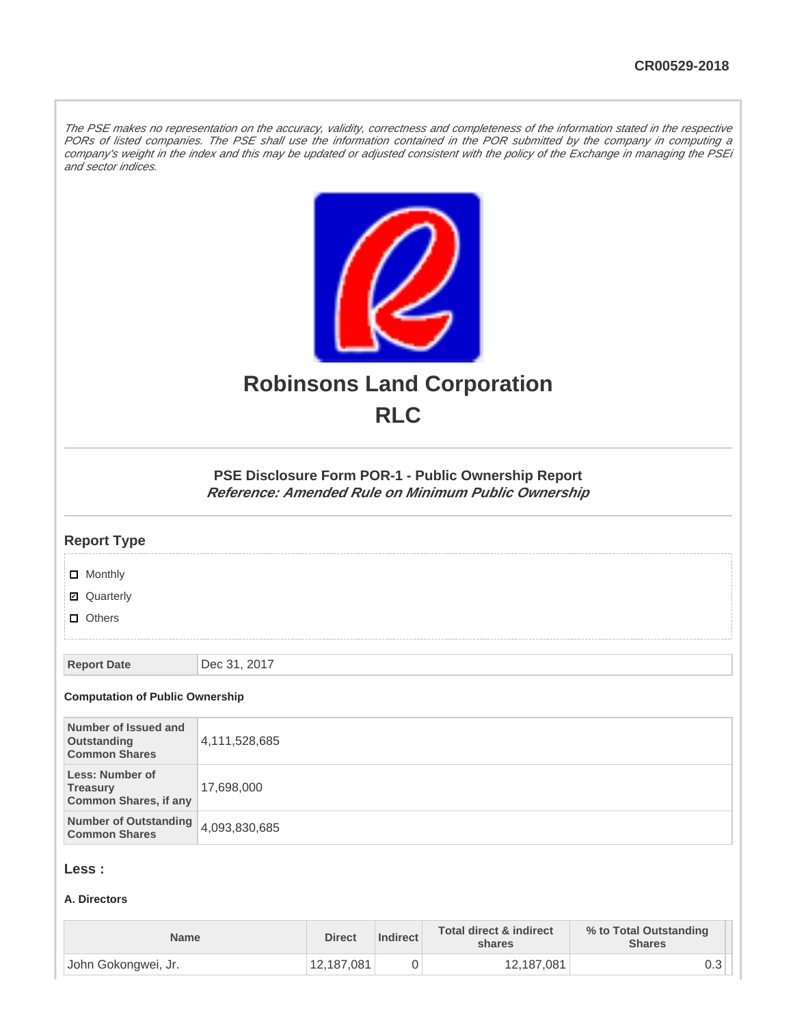The PSE makes no representation on the accuracy, validity, correctness and completeness of the information stated in the respective PORs of listed companies. The PSE shall use the information contained in the POR submitted by the company in computing a company's weight in the index and this may be updated or adjusted consistent with the policy of the Exchange in managing the PSEi and sector indices.



# **Robinsons Land Corporation RLC**

### **PSE Disclosure Form POR-1 - Public Ownership Report Reference: Amended Rule on Minimum Public Ownership**

### **Report Type**

**D** Monthly

■ Quarterly

**D** Others

**Report Date** Dec 31, 2017

#### **Computation of Public Ownership**

| Number of Issued and<br>Outstanding<br><b>Common Shares</b>        | 4,111,528,685 |
|--------------------------------------------------------------------|---------------|
| Less: Number of<br><b>Treasury</b><br><b>Common Shares, if any</b> | 17,698,000    |
| Number of Outstanding 4,093,830,685<br><b>Common Shares</b>        |               |

### **Less :**

### **A. Directors**

| <b>Name</b>         | <b>Direct</b> | Indirect | <b>Total direct &amp; indirect</b><br>shares | % to Total Outstanding<br><b>Shares</b> |
|---------------------|---------------|----------|----------------------------------------------|-----------------------------------------|
| John Gokongwei, Jr. | 12,187,081    |          | 12,187,081                                   | υ.υ                                     |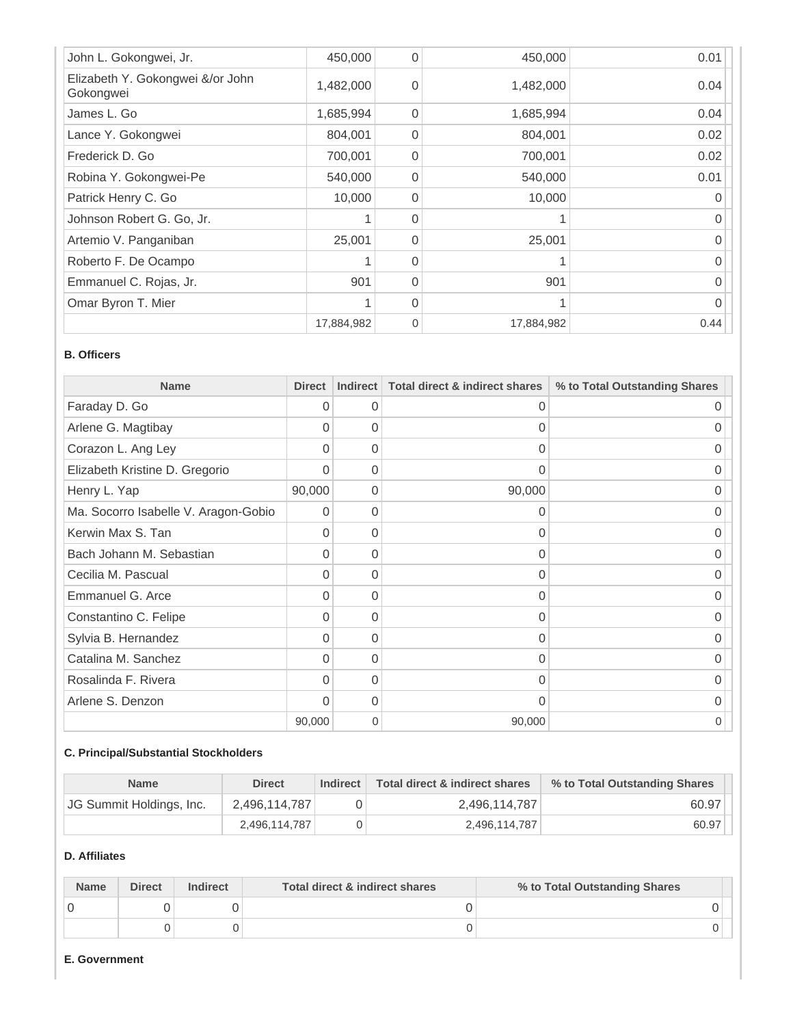| John L. Gokongwei, Jr.                        | 450,000    | $\Omega$ | 450,000    | 0.01 |
|-----------------------------------------------|------------|----------|------------|------|
| Elizabeth Y. Gokongwei &/or John<br>Gokongwei | 1,482,000  | $\Omega$ | 1,482,000  | 0.04 |
| James L. Go                                   | 1,685,994  | $\Omega$ | 1,685,994  | 0.04 |
| Lance Y. Gokongwei                            | 804,001    | $\Omega$ | 804,001    | 0.02 |
| Frederick D. Go                               | 700,001    | $\Omega$ | 700,001    | 0.02 |
| Robina Y. Gokongwei-Pe                        | 540,000    | $\Omega$ | 540,000    | 0.01 |
| Patrick Henry C. Go                           | 10,000     | $\Omega$ | 10,000     |      |
| Johnson Robert G. Go, Jr.                     |            | $\Omega$ |            |      |
| Artemio V. Panganiban                         | 25,001     | $\Omega$ | 25,001     |      |
| Roberto F. De Ocampo                          |            | $\Omega$ |            |      |
| Emmanuel C. Rojas, Jr.                        | 901        | $\Omega$ | 901        | U    |
| Omar Byron T. Mier                            |            | $\Omega$ |            |      |
|                                               | 17,884,982 | $\Omega$ | 17,884,982 | 0.44 |

### **B. Officers**

| <b>Name</b>                          | <b>Direct</b> | Indirect | Total direct & indirect shares | % to Total Outstanding Shares |
|--------------------------------------|---------------|----------|--------------------------------|-------------------------------|
| Faraday D. Go                        | 0             | 0        | 0                              | Ω                             |
| Arlene G. Magtibay                   | $\Omega$      | $\Omega$ | 0                              |                               |
| Corazon L. Ang Ley                   | $\Omega$      | 0        | 0                              | $\Omega$                      |
| Elizabeth Kristine D. Gregorio       | $\Omega$      | $\Omega$ | 0                              | 0                             |
| Henry L. Yap                         | 90,000        | 0        | 90,000                         | 0                             |
| Ma. Socorro Isabelle V. Aragon-Gobio | 0             | 0        | 0                              | Ω                             |
| Kerwin Max S. Tan                    | $\Omega$      | 0        | 0                              |                               |
| Bach Johann M. Sebastian             | $\Omega$      | 0        | 0                              | 0                             |
| Cecilia M. Pascual                   | $\Omega$      | $\Omega$ | $\Omega$                       | 0                             |
| Emmanuel G. Arce                     | $\Omega$      | $\Omega$ | 0                              | 0                             |
| Constantino C. Felipe                | $\Omega$      | 0        | 0                              | Ω                             |
| Sylvia B. Hernandez                  | $\Omega$      | $\Omega$ | 0                              |                               |
| Catalina M. Sanchez                  | $\Omega$      | 0        | $\Omega$                       | 0                             |
| Rosalinda F. Rivera                  | $\Omega$      | $\Omega$ | 0                              | O                             |
| Arlene S. Denzon                     | $\Omega$      | $\Omega$ | 0                              | O                             |
|                                      | 90,000        | 0        | 90,000                         | O                             |

# **C. Principal/Substantial Stockholders**

| <b>Name</b>              | <b>Direct</b> | Indirect | Total direct & indirect shares | % to Total Outstanding Shares |
|--------------------------|---------------|----------|--------------------------------|-------------------------------|
| JG Summit Holdings, Inc. | 2.496.114.787 |          | 2.496.114.787                  | 60.97                         |
|                          | 2.496.114.787 |          | 2,496,114,787                  | 60.97                         |

# **D. Affiliates**

| <b>Name</b> | <b>Direct</b> | <b>Indirect</b> | Total direct & indirect shares | % to Total Outstanding Shares |  |
|-------------|---------------|-----------------|--------------------------------|-------------------------------|--|
|             |               |                 |                                |                               |  |
|             |               |                 |                                |                               |  |

# **E. Government**